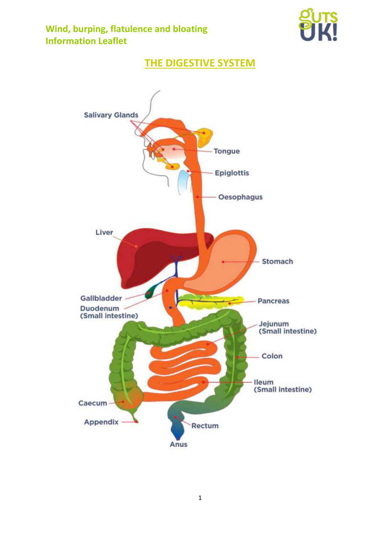

# **THE DIGESTIVE SYSTEM**

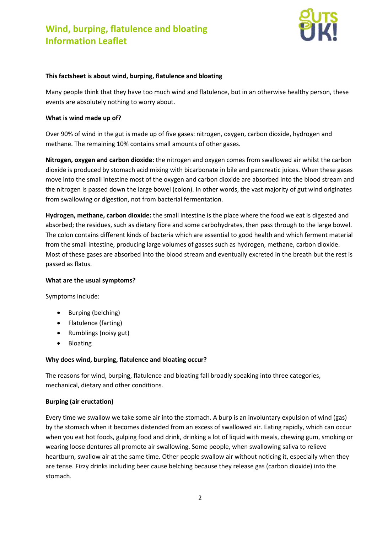

#### **This factsheet is about wind, burping, flatulence and bloating**

Many people think that they have too much wind and flatulence, but in an otherwise healthy person, these events are absolutely nothing to worry about.

#### **What is wind made up of?**

Over 90% of wind in the gut is made up of five gases: nitrogen, oxygen, carbon dioxide, hydrogen and methane. The remaining 10% contains small amounts of other gases.

**Nitrogen, oxygen and carbon dioxide:** the nitrogen and oxygen comes from swallowed air whilst the carbon dioxide is produced by stomach acid mixing with bicarbonate in bile and pancreatic juices. When these gases move into the small intestine most of the oxygen and carbon dioxide are absorbed into the blood stream and the nitrogen is passed down the large bowel (colon). In other words, the vast majority of gut wind originates from swallowing or digestion, not from bacterial fermentation.

**Hydrogen, methane, carbon dioxide:** the small intestine is the place where the food we eat is digested and absorbed; the residues, such as dietary fibre and some carbohydrates, then pass through to the large bowel. The colon contains different kinds of bacteria which are essential to good health and which ferment material from the small intestine, producing large volumes of gasses such as hydrogen, methane, carbon dioxide. Most of these gases are absorbed into the blood stream and eventually excreted in the breath but the rest is passed as flatus.

#### **What are the usual symptoms?**

Symptoms include:

- Burping (belching)
- Flatulence (farting)
- Rumblings (noisy gut)
- Bloating

## **Why does wind, burping, flatulence and bloating occur?**

The reasons for wind, burping, flatulence and bloating fall broadly speaking into three categories, mechanical, dietary and other conditions.

## **Burping (air eructation)**

Every time we swallow we take some air into the stomach. A burp is an involuntary expulsion of wind (gas) by the stomach when it becomes distended from an excess of swallowed air. Eating rapidly, which can occur when you eat hot foods, gulping food and drink, drinking a lot of liquid with meals, chewing gum, smoking or wearing loose dentures all promote air swallowing. Some people, when swallowing saliva to relieve heartburn, swallow air at the same time. Other people swallow air without noticing it, especially when they are tense. Fizzy drinks including beer cause belching because they release gas (carbon dioxide) into the stomach.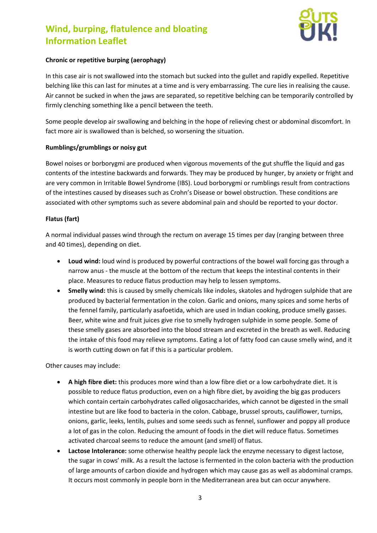

## **Chronic or repetitive burping (aerophagy)**

In this case air is not swallowed into the stomach but sucked into the gullet and rapidly expelled. Repetitive belching like this can last for minutes at a time and is very embarrassing. The cure lies in realising the cause. Air cannot be sucked in when the jaws are separated, so repetitive belching can be temporarily controlled by firmly clenching something like a pencil between the teeth.

Some people develop air swallowing and belching in the hope of relieving chest or abdominal discomfort. In fact more air is swallowed than is belched, so worsening the situation.

### **Rumblings/grumblings or noisy gut**

Bowel noises or borborygmi are produced when vigorous movements of the gut shuffle the liquid and gas contents of the intestine backwards and forwards. They may be produced by hunger, by anxiety or fright and are very common in Irritable Bowel Syndrome (IBS). Loud borborygmi or rumblings result from contractions of the intestines caused by diseases such as Crohn's Disease or bowel obstruction. These conditions are associated with other symptoms such as severe abdominal pain and should be reported to your doctor.

### **Flatus (fart)**

A normal individual passes wind through the rectum on average 15 times per day (ranging between three and 40 times), depending on diet.

- **Loud wind:** loud wind is produced by powerful contractions of the bowel wall forcing gas through a narrow anus - the muscle at the bottom of the rectum that keeps the intestinal contents in their place. Measures to reduce flatus production may help to lessen symptoms.
- **Smelly wind:** this is caused by smelly chemicals like indoles, skatoles and hydrogen sulphide that are produced by bacterial fermentation in the colon. Garlic and onions, many spices and some herbs of the fennel family, particularly asafoetida, which are used in Indian cooking, produce smelly gasses. Beer, white wine and fruit juices give rise to smelly hydrogen sulphide in some people. Some of these smelly gases are absorbed into the blood stream and excreted in the breath as well. Reducing the intake of this food may relieve symptoms. Eating a lot of fatty food can cause smelly wind, and it is worth cutting down on fat if this is a particular problem.

Other causes may include:

- **A high fibre diet:** this produces more wind than a low fibre diet or a low carbohydrate diet. It is possible to reduce flatus production, even on a high fibre diet, by avoiding the big gas producers which contain certain carbohydrates called oligosaccharides, which cannot be digested in the small intestine but are like food to bacteria in the colon. Cabbage, brussel sprouts, cauliflower, turnips, onions, garlic, leeks, lentils, pulses and some seeds such as fennel, sunflower and poppy all produce a lot of gas in the colon. Reducing the amount of foods in the diet will reduce flatus. Sometimes activated charcoal seems to reduce the amount (and smell) of flatus.
- **Lactose Intolerance:** some otherwise healthy people lack the enzyme necessary to digest lactose, the sugar in cows' milk. As a result the lactose is fermented in the colon bacteria with the production of large amounts of carbon dioxide and hydrogen which may cause gas as well as abdominal cramps. It occurs most commonly in people born in the Mediterranean area but can occur anywhere.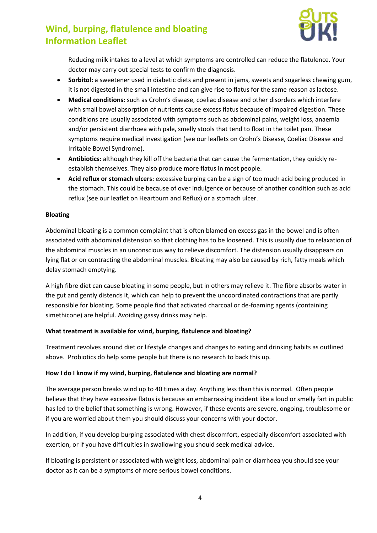

Reducing milk intakes to a level at which symptoms are controlled can reduce the flatulence. Your doctor may carry out special tests to confirm the diagnosis.

- **Sorbitol:** a sweetener used in diabetic diets and present in jams, sweets and sugarless chewing gum, it is not digested in the small intestine and can give rise to flatus for the same reason as lactose.
- **Medical conditions:** such as Crohn's disease, coeliac disease and other disorders which interfere with small bowel absorption of nutrients cause excess flatus because of impaired digestion. These conditions are usually associated with symptoms such as abdominal pains, weight loss, anaemia and/or persistent diarrhoea with pale, smelly stools that tend to float in the toilet pan. These symptoms require medical investigation (see our leaflets on Crohn's Disease, Coeliac Disease and Irritable Bowel Syndrome).
- **Antibiotics:** although they kill off the bacteria that can cause the fermentation, they quickly reestablish themselves. They also produce more flatus in most people.
- **Acid reflux or stomach ulcers:** excessive burping can be a sign of too much acid being produced in the stomach. This could be because of over indulgence or because of another condition such as acid reflux (see our leaflet on Heartburn and Reflux) or a stomach ulcer.

### **Bloating**

Abdominal bloating is a common complaint that is often blamed on excess gas in the bowel and is often associated with abdominal distension so that clothing has to be loosened. This is usually due to relaxation of the abdominal muscles in an unconscious way to relieve discomfort. The distension usually disappears on lying flat or on contracting the abdominal muscles. Bloating may also be caused by rich, fatty meals which delay stomach emptying.

A high fibre diet can cause bloating in some people, but in others may relieve it. The fibre absorbs water in the gut and gently distends it, which can help to prevent the uncoordinated contractions that are partly responsible for bloating. Some people find that activated charcoal or de-foaming agents (containing simethicone) are helpful. Avoiding gassy drinks may help.

#### **What treatment is available for wind, burping, flatulence and bloating?**

Treatment revolves around diet or lifestyle changes and changes to eating and drinking habits as outlined above. Probiotics do help some people but there is no research to back this up.

#### **How I do I know if my wind, burping, flatulence and bloating are normal?**

The average person breaks wind up to 40 times a day. Anything less than this is normal. Often people believe that they have excessive flatus is because an embarrassing incident like a loud or smelly fart in public has led to the belief that something is wrong. However, if these events are severe, ongoing, troublesome or if you are worried about them you should discuss your concerns with your doctor.

In addition, if you develop burping associated with chest discomfort, especially discomfort associated with exertion, or if you have difficulties in swallowing you should seek medical advice.

If bloating is persistent or associated with weight loss, abdominal pain or diarrhoea you should see your doctor as it can be a symptoms of more serious bowel conditions.